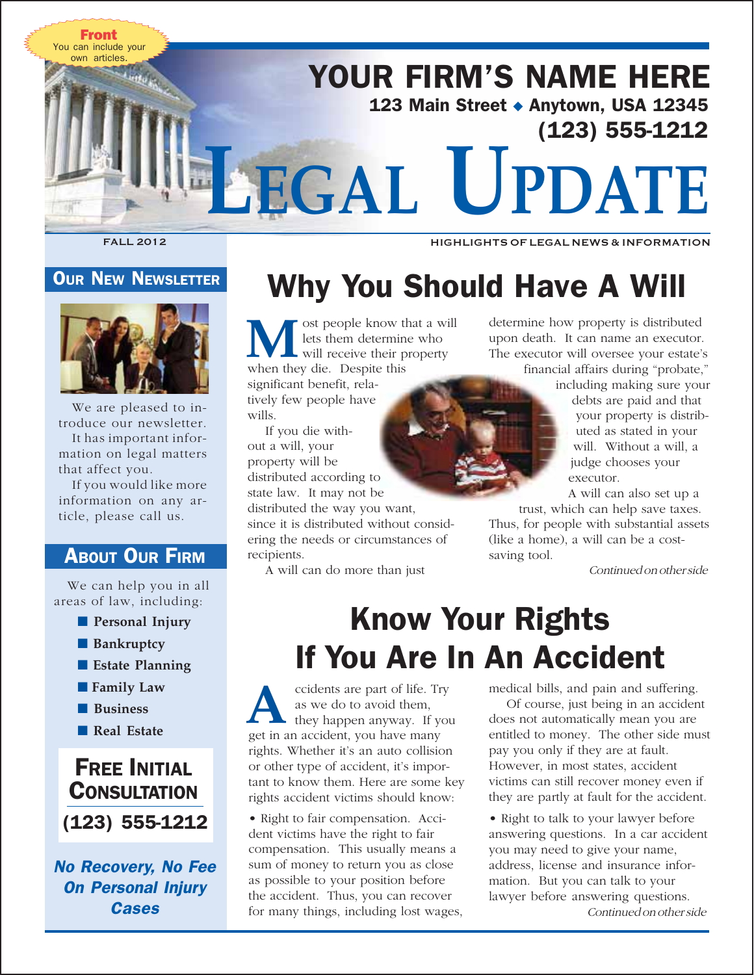

## **OUR NEW NEWSLETTER**



We are pleased to introduce our newsletter. It has important information on legal matters that affect you.

If you would like more information on any article, please call us.

## **ABOUT OUR FIRM**

We can help you in all areas of law, including:

- **Personal Injury**
- ■ **Bankruptcy**
- Estate Planning
- **II Family Law** 
	- ■ **Business**
	- Real Estate

# (123) 555-1212 FREE INITIAL **CONSULTATION**

No Recovery, No Fee On Personal Injury **Cases** 

# Why You Should Have A Will

ost people know that a will lets them determine who will receive their property **M** lets them determin<br>
will receive their p<br>
when they die. Despite this

significant benefit, relatively few people have wills.

If you die without a will, your property will be distributed according to

state law. It may not be

distributed the way you want, since it is distributed without considering the needs or circumstances of recipients.

A will can do more than just

determine how property is distributed upon death. It can name an executor. The executor will oversee your estate's financial affairs during "probate,"

including making sure your debts are paid and that your property is distributed as stated in your will. Without a will, a judge chooses your executor.

A will can also set up a

trust, which can help save taxes. Thus, for people with substantial assets (like a home), a will can be a costsaving tool.

Continued on other side

# Know Your Rights If You Are In An Accident

ccidents are part of life. Try as we do to avoid them,<br>**they happen anyway**. If you get in an accident, you have many rights. Whether it's an auto collision or other type of accident, it's important to know them. Here are some key rights accident victims should know:

• Right to fair compensation. Accident victims have the right to fair compensation. This usually means a sum of money to return you as close as possible to your position before the accident. Thus, you can recover for many things, including lost wages, medical bills, and pain and suffering.

Of course, just being in an accident does not automatically mean you are entitled to money. The other side must pay you only if they are at fault. However, in most states, accident victims can still recover money even if they are partly at fault for the accident.

• Right to talk to your lawyer before answering questions. In a car accident you may need to give your name, address, license and insurance information. But you can talk to your lawyer before answering questions.

Continued on other side